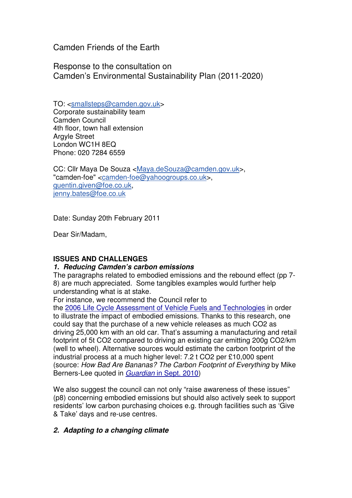Camden Friends of the Earth

Response to the consultation on Camden's Environmental Sustainability Plan (2011-2020)

TO: <smallsteps@camden.gov.uk> Corporate sustainability team Camden Council 4th floor, town hall extension Argyle Street London WC1H 8EQ Phone: 020 7284 6559

CC: Cllr Maya De Souza <Maya.deSouza@camden.gov.uk>, "camden-foe" <camden-foe@yahoogroups.co.uk>, quentin.given@foe.co.uk, jenny.bates@foe.co.uk

Date: Sunday 20th February 2011

Dear Sir/Madam,

# **ISSUES AND CHALLENGES**

# **1. Reducing Camden's carbon emissions**

The paragraphs related to embodied emissions and the rebound effect (pp 7- 8) are much appreciated. Some tangibles examples would further help understanding what is at stake.

For instance, we recommend the Council refer to

the 2006 Life Cycle Assessment of Vehicle Fuels and Technologies in order to illustrate the impact of embodied emissions. Thanks to this research, one could say that the purchase of a new vehicle releases as much CO2 as driving 25,000 km with an old car. That's assuming a manufacturing and retail footprint of 5t CO2 compared to driving an existing car emitting 200g CO2/km (well to wheel). Alternative sources would estimate the carbon footprint of the industrial process at a much higher level: 7.2 t CO2 per £10,000 spent (source: How Bad Are Bananas? The Carbon Footprint of Everything by Mike Berners-Lee quoted in Guardian in Sept. 2010)

We also suggest the council can not only "raise awareness of these issues" (p8) concerning embodied emissions but should also actively seek to support residents' low carbon purchasing choices e.g. through facilities such as 'Give & Take' days and re-use centres.

# **2. Adapting to a changing climate**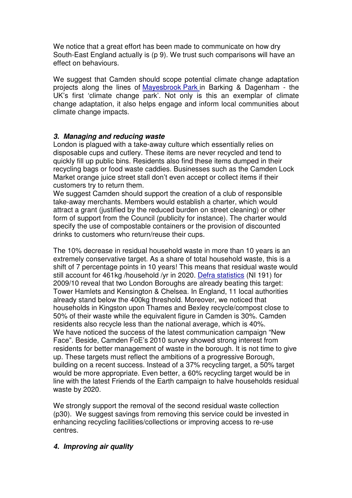We notice that a great effort has been made to communicate on how dry South-East England actually is (p 9). We trust such comparisons will have an effect on behaviours.

We suggest that Camden should scope potential climate change adaptation projects along the lines of Mayesbrook Park in Barking & Dagenham - the UK's first 'climate change park'. Not only is this an exemplar of climate change adaptation, it also helps engage and inform local communities about climate change impacts.

### **3. Managing and reducing waste**

London is plagued with a take-away culture which essentially relies on disposable cups and cutlery. These items are never recycled and tend to quickly fill up public bins. Residents also find these items dumped in their recycling bags or food waste caddies. Businesses such as the Camden Lock Market orange juice street stall don't even accept or collect items if their customers try to return them.

We suggest Camden should support the creation of a club of responsible take-away merchants. Members would establish a charter, which would attract a grant (justified by the reduced burden on street cleaning) or other form of support from the Council (publicity for instance). The charter would specify the use of compostable containers or the provision of discounted drinks to customers who return/reuse their cups.

The 10% decrease in residual household waste in more than 10 years is an extremely conservative target. As a share of total household waste, this is a shift of 7 percentage points in 10 years! This means that residual waste would still account for 461kg /household /yr in 2020. Defra statistics (NI 191) for 2009/10 reveal that two London Boroughs are already beating this target: Tower Hamlets and Kensington & Chelsea. In England, 11 local authorities already stand below the 400kg threshold. Moreover, we noticed that households in Kingston upon Thames and Bexley recycle/compost close to 50% of their waste while the equivalent figure in Camden is 30%. Camden residents also recycle less than the national average, which is 40%. We have noticed the success of the latest communication campaign "New Face". Beside, Camden FoE's 2010 survey showed strong interest from residents for better management of waste in the borough. It is not time to give up. These targets must reflect the ambitions of a progressive Borough, building on a recent success. Instead of a 37% recycling target, a 50% target would be more appropriate. Even better, a 60% recycling target would be in line with the latest Friends of the Earth campaign to halve households residual waste by 2020.

We strongly support the removal of the second residual waste collection (p30). We suggest savings from removing this service could be invested in enhancing recycling facilities/collections or improving access to re-use centres.

#### **4. Improving air quality**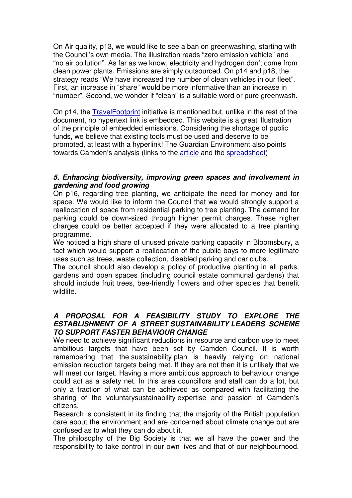On Air quality, p13, we would like to see a ban on greenwashing, starting with the Council's own media. The illustration reads "zero emission vehicle" and "no air pollution". As far as we know, electricity and hydrogen don't come from clean power plants. Emissions are simply outsourced. On p14 and p18, the strategy reads "We have increased the number of clean vehicles in our fleet". First, an increase in "share" would be more informative than an increase in "number". Second, we wonder if "clean" is a suitable word or pure greenwash.

On p14, the TravelFootprint initiative is mentioned but, unlike in the rest of the document, no hypertext link is embedded. This website is a great illustration of the principle of embedded emissions. Considering the shortage of public funds, we believe that existing tools must be used and deserve to be promoted, at least with a hyperlink! The Guardian Environment also points towards Camden's analysis (links to the article and the spreadsheet)

### **5. Enhancing biodiversity, improving green spaces and involvement in gardening and food growing**

On p16, regarding tree planting, we anticipate the need for money and for space. We would like to inform the Council that we would strongly support a reallocation of space from residential parking to tree planting. The demand for parking could be down-sized through higher permit charges. These higher charges could be better accepted if they were allocated to a tree planting programme.

We noticed a high share of unused private parking capacity in Bloomsbury, a fact which would support a reallocation of the public bays to more legitimate uses such as trees, waste collection, disabled parking and car clubs.

The council should also develop a policy of productive planting in all parks, gardens and open spaces (including council estate communal gardens) that should include fruit trees, bee-friendly flowers and other species that benefit wildlife.

### **A PROPOSAL FOR A FEASIBILITY STUDY TO EXPLORE THE ESTABLISHMENT OF A STREET SUSTAINABILITY LEADERS SCHEME TO SUPPORT FASTER BEHAVIOUR CHANGE**

We need to achieve significant reductions in resource and carbon use to meet ambitious targets that have been set by Camden Council. It is worth remembering that the sustainability plan is heavily relying on national emission reduction targets being met. If they are not then it is unlikely that we will meet our target. Having a more ambitious approach to behaviour change could act as a safety net. In this area councillors and staff can do a lot, but only a fraction of what can be achieved as compared with facilitating the sharing of the voluntarysustainability expertise and passion of Camden's citizens.

Research is consistent in its finding that the majority of the British population care about the environment and are concerned about climate change but are confused as to what they can do about it.

The philosophy of the Big Society is that we all have the power and the responsibility to take control in our own lives and that of our neighbourhood.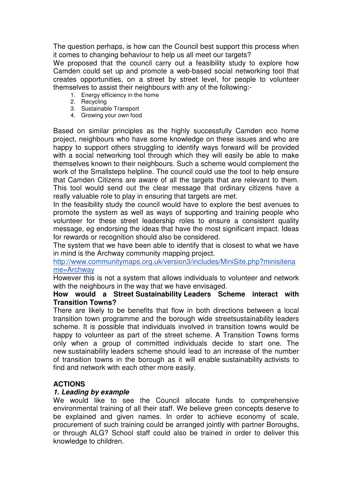The question perhaps, is how can the Council best support this process when it comes to changing behaviour to help us all meet our targets?

We proposed that the council carry out a feasibility study to explore how Camden could set up and promote a web-based social networking tool that creates opportunities, on a street by street level, for people to volunteer themselves to assist their neighbours with any of the following:-

- 1. Energy efficiency in the home
- 2. Recycling
- 3. Sustainable Transport
- 4. Growing your own food

Based on similar principles as the highly successfully Camden eco home project, neighbours who have some knowledge on these issues and who are happy to support others struggling to identify ways forward will be provided with a social networking tool through which they will easily be able to make themselves known to their neighbours. Such a scheme would complement the work of the Smallsteps helpline. The council could use the tool to help ensure that Camden Citizens are aware of all the targets that are relevant to them. This tool would send out the clear message that ordinary citizens have a really valuable role to play in ensuring that targets are met.

In the feasibility study the council would have to explore the best avenues to promote the system as well as ways of supporting and training people who volunteer for these street leadership roles to ensure a consistent quality message, eg endorsing the ideas that have the most significant impact. Ideas for rewards or recognition should also be considered.

The system that we have been able to identify that is closest to what we have in mind is the Archway community mapping project.

http://www.communitymaps.org.uk/version3/includes/MiniSite.php?minisitena me=Archway

However this is not a system that allows individuals to volunteer and network with the neighbours in the way that we have envisaged.

#### **How would a Street Sustainability Leaders Scheme interact with Transition Towns?**

There are likely to be benefits that flow in both directions between a local transition town programme and the borough wide streetsustainability leaders scheme. It is possible that individuals involved in transition towns would be happy to volunteer as part of the street scheme. A Transition Towns forms only when a group of committed individuals decide to start one. The new sustainability leaders scheme should lead to an increase of the number of transition towns in the borough as it will enable sustainability activists to find and network with each other more easily.

# **ACTIONS**

#### **1. Leading by example**

We would like to see the Council allocate funds to comprehensive environmental training of all their staff. We believe green concepts deserve to be explained and given names. In order to achieve economy of scale, procurement of such training could be arranged jointly with partner Boroughs, or through ALG? School staff could also be trained in order to deliver this knowledge to children.